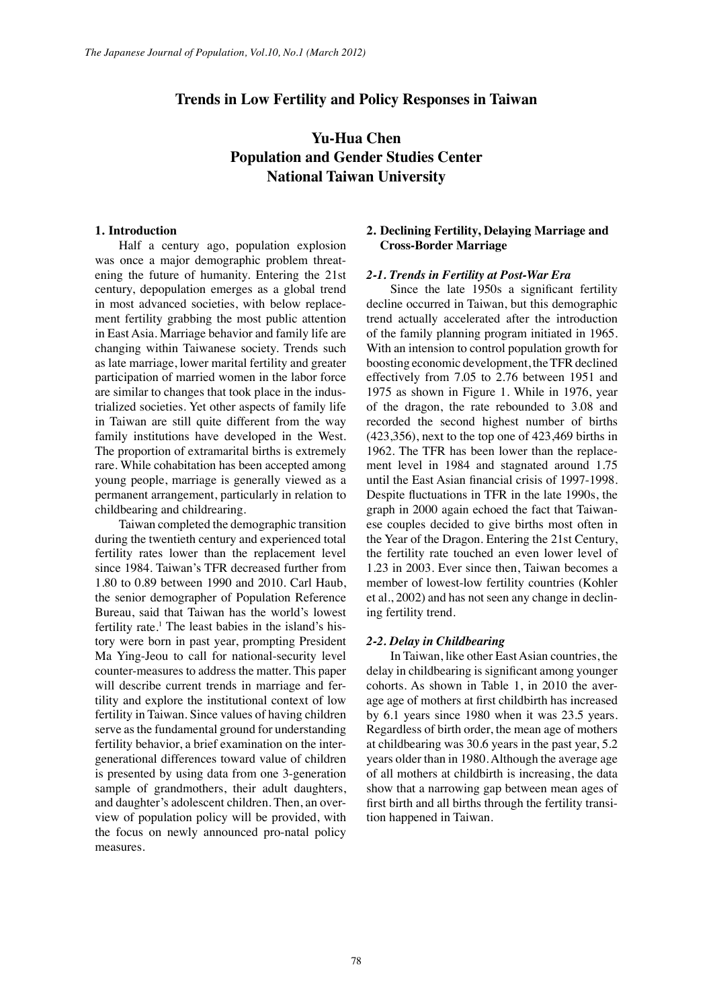# **Trends in Low Fertility and Policy Responses in Taiwan**

# **Yu-Hua Chen Population and Gender Studies Center National Taiwan University**

## **1. Introduction**

Half a century ago, population explosion was once a major demographic problem threatening the future of humanity. Entering the 21st century, depopulation emerges as a global trend in most advanced societies, with below replacement fertility grabbing the most public attention in East Asia. Marriage behavior and family life are changing within Taiwanese society. Trends such as late marriage, lower marital fertility and greater participation of married women in the labor force are similar to changes that took place in the industrialized societies. Yet other aspects of family life in Taiwan are still quite different from the way family institutions have developed in the West. The proportion of extramarital births is extremely rare. While cohabitation has been accepted among young people, marriage is generally viewed as a permanent arrangement, particularly in relation to childbearing and childrearing.

Taiwan completed the demographic transition during the twentieth century and experienced total fertility rates lower than the replacement level since 1984. Taiwan's TFR decreased further from 1.80 to 0.89 between 1990 and 2010. Carl Haub, the senior demographer of Population Reference Bureau, said that Taiwan has the world's lowest fertility rate.<sup>1</sup> The least babies in the island's history were born in past year, prompting President Ma Ying-Jeou to call for national-security level counter-measures to address the matter. This paper will describe current trends in marriage and fertility and explore the institutional context of low fertility in Taiwan. Since values of having children serve as the fundamental ground for understanding fertility behavior, a brief examination on the intergenerational differences toward value of children is presented by using data from one 3-generation sample of grandmothers, their adult daughters, and daughter's adolescent children. Then, an overview of population policy will be provided, with the focus on newly announced pro-natal policy measures.

## **2. Declining Fertility, Delaying Marriage and Cross-Border Marriage**

### *2-1. Trends in Fertility at Post-War Era*

Since the late 1950s a significant fertility decline occurred in Taiwan, but this demographic trend actually accelerated after the introduction of the family planning program initiated in 1965. With an intension to control population growth for boosting economic development, the TFR declined effectively from 7.05 to 2.76 between 1951 and 1975 as shown in Figure 1. While in 1976, year of the dragon, the rate rebounded to 3.08 and recorded the second highest number of births (423,356), next to the top one of 423,469 births in 1962. The TFR has been lower than the replacement level in 1984 and stagnated around 1.75 until the East Asian financial crisis of 1997-1998. Despite fluctuations in TFR in the late 1990s, the graph in 2000 again echoed the fact that Taiwanese couples decided to give births most often in the Year of the Dragon. Entering the 21st Century, the fertility rate touched an even lower level of 1.23 in 2003. Ever since then, Taiwan becomes a member of lowest-low fertility countries (Kohler et al., 2002) and has not seen any change in declining fertility trend.

#### *2-2. Delay in Childbearing*

In Taiwan, like other East Asian countries, the delay in childbearing is significant among younger cohorts. As shown in Table 1, in 2010 the average age of mothers at first childbirth has increased by 6.1 years since 1980 when it was 23.5 years. Regardless of birth order, the mean age of mothers at childbearing was 30.6 years in the past year, 5.2 years older than in 1980. Although the average age of all mothers at childbirth is increasing, the data show that a narrowing gap between mean ages of first birth and all births through the fertility transition happened in Taiwan.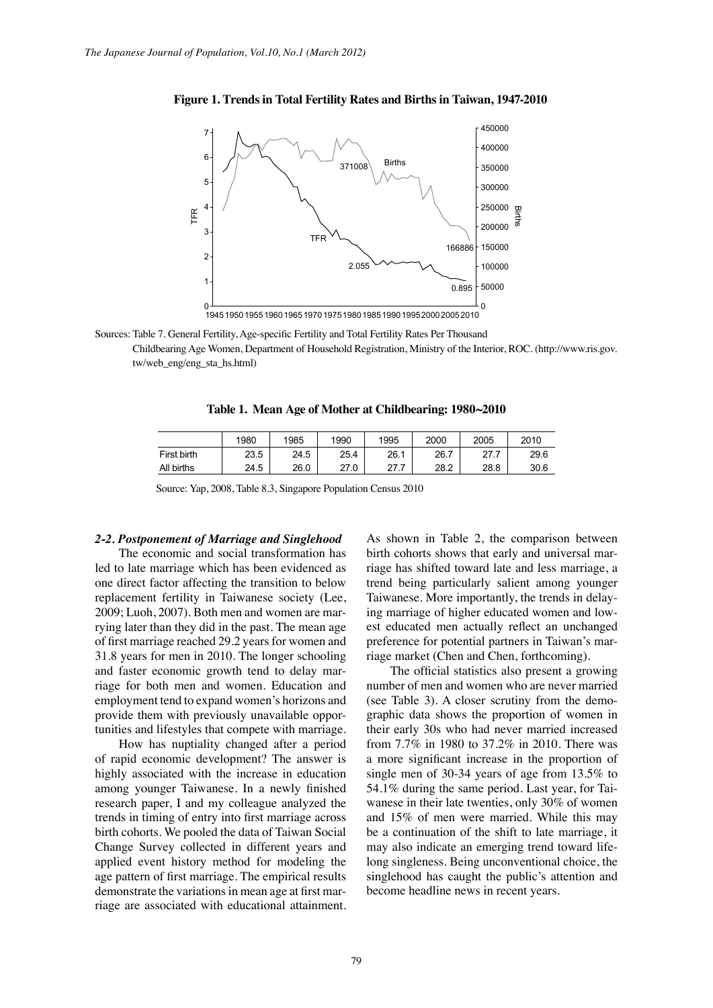

### **Figure 1. Trends in Total Fertility Rates and Births in Taiwan, 1947-2010**

Sources: Table 7. General Fertility, Age-specific Fertility and Total Fertility Rates Per Thousand

Childbearing Age Women, Department of Household Registration, Ministry of the Interior, ROC. (http://www.ris.gov. tw/web\_eng/eng\_sta\_hs.html)

**Table 1. Mean Age of Mother at Childbearing: 1980~2010**

|             | 1980 | 1985 | 1990 | 1995 | 2000 | 2005 | 2010 |
|-------------|------|------|------|------|------|------|------|
| First birth | 23.5 | 24.5 | 25.4 | 26.1 | 26.7 |      | 29.6 |
| All births  | 24.5 | 26.0 | 27.0 | 77   | 28.2 | 28.8 | 30.6 |

Source: Yap, 2008, Table 8.3, Singapore Population Census 2010

#### *2-2. Postponement of Marriage and Singlehood*

The economic and social transformation has led to late marriage which has been evidenced as one direct factor affecting the transition to below replacement fertility in Taiwanese society (Lee, 2009; Luoh, 2007). Both men and women are marrying later than they did in the past. The mean age of first marriage reached 29.2 years for women and 31.8 years for men in 2010. The longer schooling and faster economic growth tend to delay marriage for both men and women. Education and employment tend to expand women's horizons and provide them with previously unavailable opportunities and lifestyles that compete with marriage.

How has nuptiality changed after a period of rapid economic development? The answer is highly associated with the increase in education among younger Taiwanese. In a newly finished research paper, I and my colleague analyzed the trends in timing of entry into first marriage across birth cohorts. We pooled the data of Taiwan Social Change Survey collected in different years and applied event history method for modeling the age pattern of first marriage. The empirical results demonstrate the variations in mean age at first marriage are associated with educational attainment. As shown in Table 2, the comparison between birth cohorts shows that early and universal marriage has shifted toward late and less marriage, a trend being particularly salient among younger Taiwanese. More importantly, the trends in delaying marriage of higher educated women and lowest educated men actually reflect an unchanged preference for potential partners in Taiwan's marriage market (Chen and Chen, forthcoming).

The official statistics also present a growing number of men and women who are never married (see Table 3). A closer scrutiny from the demographic data shows the proportion of women in their early 30s who had never married increased from 7.7% in 1980 to 37.2% in 2010. There was a more significant increase in the proportion of single men of 30-34 years of age from 13.5% to 54.1% during the same period. Last year, for Taiwanese in their late twenties, only 30% of women and 15% of men were married. While this may be a continuation of the shift to late marriage, it may also indicate an emerging trend toward lifelong singleness. Being unconventional choice, the singlehood has caught the public's attention and become headline news in recent years.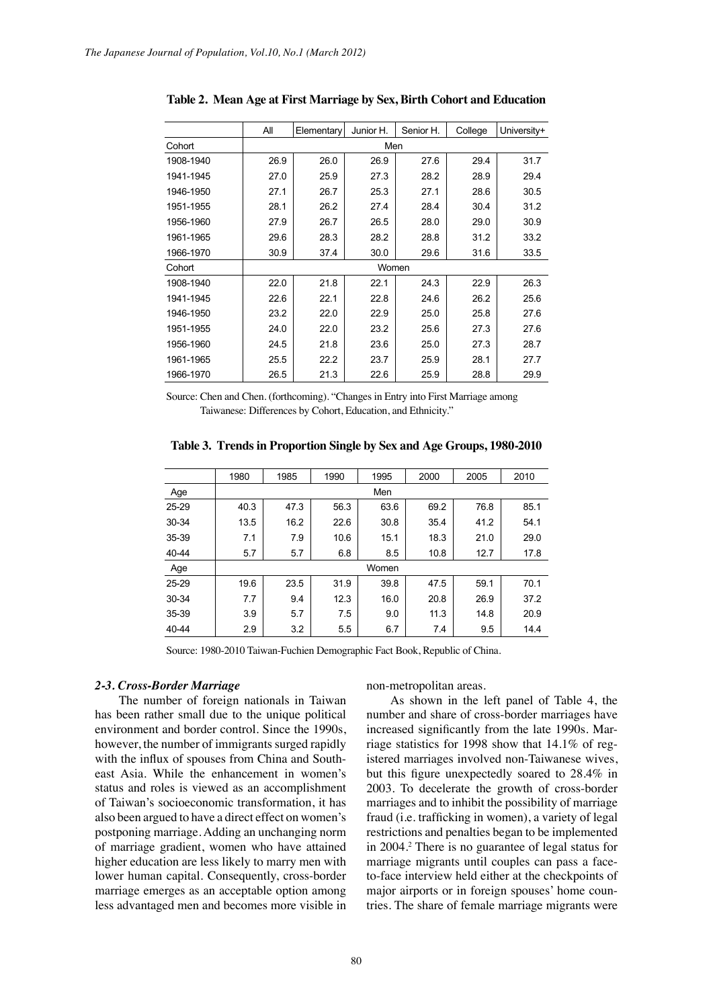|           | All  | Elementary | Junior H. | Senior H. | College | University+ |  |  |  |  |
|-----------|------|------------|-----------|-----------|---------|-------------|--|--|--|--|
| Cohort    | Men  |            |           |           |         |             |  |  |  |  |
| 1908-1940 | 26.9 | 26.0       | 26.9      | 27.6      | 29.4    | 31.7        |  |  |  |  |
| 1941-1945 | 27.0 | 25.9       | 27.3      | 28.2      | 28.9    | 29.4        |  |  |  |  |
| 1946-1950 | 27.1 | 26.7       | 25.3      | 27.1      | 28.6    | 30.5        |  |  |  |  |
| 1951-1955 | 28.1 | 26.2       | 27.4      | 28.4      | 30.4    | 31.2        |  |  |  |  |
| 1956-1960 | 27.9 | 26.7       | 26.5      | 28.0      | 29.0    | 30.9        |  |  |  |  |
| 1961-1965 | 29.6 | 28.3       | 28.2      | 28.8      | 31.2    | 33.2        |  |  |  |  |
| 1966-1970 | 30.9 | 37.4       | 30.0      | 29.6      | 31.6    | 33.5        |  |  |  |  |
| Cohort    |      |            | Women     |           |         |             |  |  |  |  |
| 1908-1940 | 22.0 | 21.8       | 22.1      | 24.3      | 22.9    | 26.3        |  |  |  |  |
| 1941-1945 | 22.6 | 22.1       | 22.8      | 24.6      | 26.2    | 25.6        |  |  |  |  |
| 1946-1950 | 23.2 | 22.0       | 22.9      | 25.0      | 25.8    | 27.6        |  |  |  |  |
| 1951-1955 | 24.0 | 22.0       | 23.2      | 25.6      | 27.3    | 27.6        |  |  |  |  |
| 1956-1960 | 24.5 | 21.8       | 23.6      | 25.0      | 27.3    | 28.7        |  |  |  |  |
| 1961-1965 | 25.5 | 22.2       | 23.7      | 25.9      | 28.1    | 27.7        |  |  |  |  |
| 1966-1970 | 26.5 | 21.3       | 22.6      | 25.9      | 28.8    | 29.9        |  |  |  |  |

**Table 2. Mean Age at First Marriage by Sex, Birth Cohort and Education**

Source: Chen and Chen. (forthcoming). "Changes in Entry into First Marriage among Taiwanese: Differences by Cohort, Education, and Ethnicity."

**Table 3. Trends in Proportion Single by Sex and Age Groups, 1980-2010**

|       | 1980 | 1985 | 1990 | 1995  | 2000 | 2005 | 2010 |  |  |  |
|-------|------|------|------|-------|------|------|------|--|--|--|
| Age   |      | Men  |      |       |      |      |      |  |  |  |
| 25-29 | 40.3 | 47.3 | 56.3 | 63.6  | 69.2 | 76.8 | 85.1 |  |  |  |
| 30-34 | 13.5 | 16.2 | 22.6 | 30.8  | 35.4 | 41.2 | 54.1 |  |  |  |
| 35-39 | 7.1  | 7.9  | 10.6 | 15.1  | 18.3 | 21.0 | 29.0 |  |  |  |
| 40-44 | 57   | 5.7  | 6.8  | 8.5   | 10.8 | 12.7 | 17.8 |  |  |  |
| Age   |      |      |      | Women |      |      |      |  |  |  |
| 25-29 | 19.6 | 23.5 | 31.9 | 39.8  | 47.5 | 59.1 | 70.1 |  |  |  |
| 30-34 | 7.7  | 9.4  | 12.3 | 16.0  | 20.8 | 26.9 | 37.2 |  |  |  |
| 35-39 | 3.9  | 5.7  | 7.5  | 9.0   | 11.3 | 14.8 | 20.9 |  |  |  |
| 40-44 | 2.9  | 3.2  | 5.5  | 6.7   | 7.4  | 9.5  | 14.4 |  |  |  |

Source: 1980-2010 Taiwan-Fuchien Demographic Fact Book, Republic of China.

#### *2-3. Cross-Border Marriage*

The number of foreign nationals in Taiwan has been rather small due to the unique political environment and border control. Since the 1990s, however, the number of immigrants surged rapidly with the influx of spouses from China and Southeast Asia. While the enhancement in women's status and roles is viewed as an accomplishment of Taiwan's socioeconomic transformation, it has also been argued to have a direct effect on women's postponing marriage. Adding an unchanging norm of marriage gradient, women who have attained higher education are less likely to marry men with lower human capital. Consequently, cross-border marriage emerges as an acceptable option among less advantaged men and becomes more visible in

non-metropolitan areas.

As shown in the left panel of Table 4, the number and share of cross-border marriages have increased significantly from the late 1990s. Marriage statistics for 1998 show that 14.1% of registered marriages involved non-Taiwanese wives, but this figure unexpectedly soared to 28.4% in 2003. To decelerate the growth of cross-border marriages and to inhibit the possibility of marriage fraud (i.e. trafficking in women), a variety of legal restrictions and penalties began to be implemented in 2004.2 There is no guarantee of legal status for marriage migrants until couples can pass a faceto-face interview held either at the checkpoints of major airports or in foreign spouses' home countries. The share of female marriage migrants were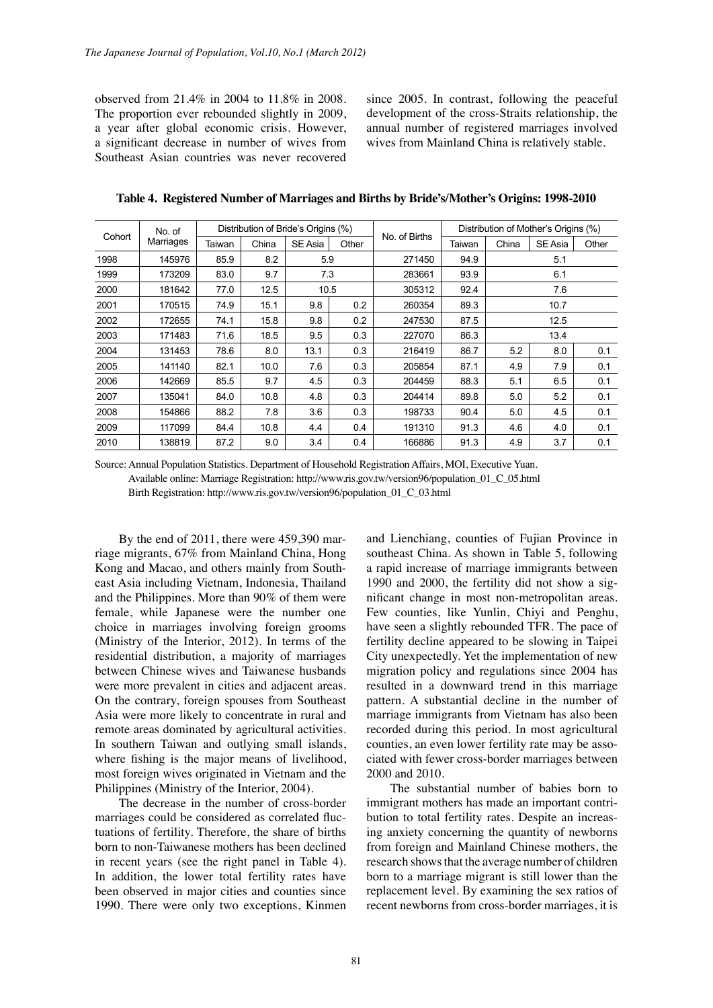observed from 21.4% in 2004 to 11.8% in 2008. The proportion ever rebounded slightly in 2009, a year after global economic crisis. However, a significant decrease in number of wives from Southeast Asian countries was never recovered since 2005. In contrast, following the peaceful development of the cross-Straits relationship, the annual number of registered marriages involved wives from Mainland China is relatively stable.

| No. of |           |        |       | Distribution of Bride's Origins (%) |       |               | Distribution of Mother's Origins (%) |       |         |       |
|--------|-----------|--------|-------|-------------------------------------|-------|---------------|--------------------------------------|-------|---------|-------|
| Cohort | Marriages | Taiwan | China | SE Asia                             | Other | No. of Births | Taiwan                               | China | SE Asia | Other |
| 1998   | 145976    | 85.9   | 8.2   | 5.9                                 |       | 271450        | 94.9                                 |       | 5.1     |       |
| 1999   | 173209    | 83.0   | 9.7   | 7.3                                 |       | 283661        | 93.9                                 |       | 6.1     |       |
| 2000   | 181642    | 77.0   | 12.5  | 10.5                                |       | 305312        | 92.4                                 |       | 7.6     |       |
| 2001   | 170515    | 74.9   | 15.1  | 9.8                                 | 0.2   | 260354        | 89.3                                 | 10.7  |         |       |
| 2002   | 172655    | 74.1   | 15.8  | 9.8                                 | 0.2   | 247530        | 87.5                                 | 12.5  |         |       |
| 2003   | 171483    | 71.6   | 18.5  | 9.5                                 | 0.3   | 227070        | 86.3                                 | 13.4  |         |       |
| 2004   | 131453    | 78.6   | 8.0   | 13.1                                | 0.3   | 216419        | 86.7                                 | 5.2   | 8.0     | 0.1   |
| 2005   | 141140    | 82.1   | 10.0  | 7.6                                 | 0.3   | 205854        | 87.1                                 | 4.9   | 7.9     | 0.1   |
| 2006   | 142669    | 85.5   | 9.7   | 4.5                                 | 0.3   | 204459        | 88.3                                 | 5.1   | 6.5     | 0.1   |
| 2007   | 135041    | 84.0   | 10.8  | 4.8                                 | 0.3   | 204414        | 89.8                                 | 5.0   | 5.2     | 0.1   |
| 2008   | 154866    | 88.2   | 7.8   | 3.6                                 | 0.3   | 198733        | 90.4                                 | 5.0   | 4.5     | 0.1   |
| 2009   | 117099    | 84.4   | 10.8  | 4.4                                 | 0.4   | 191310        | 91.3                                 | 4.6   | 4.0     | 0.1   |
| 2010   | 138819    | 87.2   | 9.0   | 3.4                                 | 0.4   | 166886        | 91.3                                 | 4.9   | 3.7     | 0.1   |

**Table 4. Registered Number of Marriages and Births by Bride's/Mother's Origins: 1998-2010**

Source: Annual Population Statistics. Department of Household Registration Affairs, MOI, Executive Yuan. Available online: Marriage Registration: http://www.ris.gov.tw/version96/population\_01\_C\_05.html Birth Registration: http://www.ris.gov.tw/version96/population\_01\_C\_03.html

By the end of 2011, there were 459,390 marriage migrants, 67% from Mainland China, Hong Kong and Macao, and others mainly from Southeast Asia including Vietnam, Indonesia, Thailand and the Philippines. More than 90% of them were female, while Japanese were the number one choice in marriages involving foreign grooms (Ministry of the Interior, 2012). In terms of the residential distribution, a majority of marriages between Chinese wives and Taiwanese husbands were more prevalent in cities and adjacent areas. On the contrary, foreign spouses from Southeast Asia were more likely to concentrate in rural and remote areas dominated by agricultural activities. In southern Taiwan and outlying small islands, where fishing is the major means of livelihood, most foreign wives originated in Vietnam and the Philippines (Ministry of the Interior, 2004).

The decrease in the number of cross-border marriages could be considered as correlated fluctuations of fertility. Therefore, the share of births born to non-Taiwanese mothers has been declined in recent years (see the right panel in Table 4). In addition, the lower total fertility rates have been observed in major cities and counties since 1990. There were only two exceptions, Kinmen

and Lienchiang, counties of Fujian Province in southeast China. As shown in Table 5, following a rapid increase of marriage immigrants between 1990 and 2000, the fertility did not show a significant change in most non-metropolitan areas. Few counties, like Yunlin, Chiyi and Penghu, have seen a slightly rebounded TFR. The pace of fertility decline appeared to be slowing in Taipei City unexpectedly. Yet the implementation of new migration policy and regulations since 2004 has resulted in a downward trend in this marriage pattern. A substantial decline in the number of marriage immigrants from Vietnam has also been recorded during this period. In most agricultural counties, an even lower fertility rate may be associated with fewer cross-border marriages between 2000 and 2010.

The substantial number of babies born to immigrant mothers has made an important contribution to total fertility rates. Despite an increasing anxiety concerning the quantity of newborns from foreign and Mainland Chinese mothers, the research shows that the average number of children born to a marriage migrant is still lower than the replacement level. By examining the sex ratios of recent newborns from cross-border marriages, it is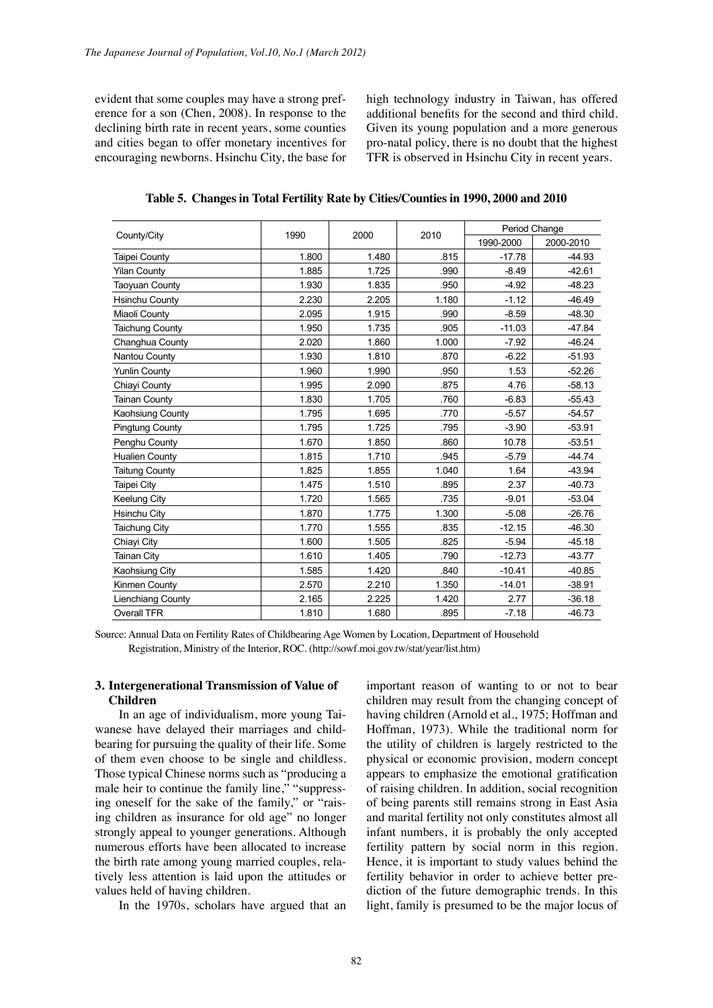evident that some couples may have a strong preference for a son (Chen, 2008). In response to the declining birth rate in recent years, some counties and cities began to offer monetary incentives for encouraging newborns. Hsinchu City, the base for high technology industry in Taiwan, has offered additional benefits for the second and third child. Given its young population and a more generous pro-natal policy, there is no doubt that the highest TFR is observed in Hsinchu City in recent years.

**Table 5. Changes in Total Fertility Rate by Cities/Counties in 1990, 2000 and 2010**

|                        |       | 2000  | 2010  | Period Change |           |  |
|------------------------|-------|-------|-------|---------------|-----------|--|
| County/City            | 1990  |       |       | 1990-2000     | 2000-2010 |  |
| <b>Taipei County</b>   | 1.800 | 1.480 | .815  | $-17.78$      | $-44.93$  |  |
| <b>Yilan County</b>    | 1.885 | 1.725 | .990  | $-8.49$       | $-42.61$  |  |
| <b>Taoyuan County</b>  | 1.930 | 1.835 | .950  | $-4.92$       | $-48.23$  |  |
| <b>Hsinchu County</b>  | 2.230 | 2.205 | 1.180 | $-1.12$       | $-46.49$  |  |
| Miaoli County          | 2.095 | 1.915 | .990  | $-8.59$       | $-48.30$  |  |
| <b>Taichung County</b> | 1.950 | 1.735 | .905  | $-11.03$      | $-47.84$  |  |
| Changhua County        | 2.020 | 1.860 | 1.000 | $-7.92$       | $-46.24$  |  |
| Nantou County          | 1.930 | 1.810 | .870  | $-6.22$       | $-51.93$  |  |
| <b>Yunlin County</b>   | 1.960 | 1.990 | .950  | 1.53          | $-52.26$  |  |
| Chiavi County          | 1.995 | 2.090 | .875  | 4.76          | $-58.13$  |  |
| <b>Tainan County</b>   | 1.830 | 1.705 | .760  | $-6.83$       | $-55.43$  |  |
| Kaohsiung County       | 1.795 | 1.695 | .770  | $-5.57$       | $-54.57$  |  |
| <b>Pingtung County</b> | 1.795 | 1.725 | .795  | $-3.90$       | $-53.91$  |  |
| Penghu County          | 1.670 | 1.850 | .860  | 10.78         | $-53.51$  |  |
| <b>Hualien County</b>  | 1.815 | 1.710 | .945  | $-5.79$       | $-44.74$  |  |
| <b>Taitung County</b>  | 1.825 | 1.855 | 1.040 | 1.64          | $-43.94$  |  |
| Taipei City            | 1.475 | 1.510 | .895  | 2.37          | $-40.73$  |  |
| Keelung City           | 1.720 | 1.565 | .735  | $-9.01$       | $-53.04$  |  |
| Hsinchu City           | 1.870 | 1.775 | 1.300 | $-5.08$       | $-26.76$  |  |
| <b>Taichung City</b>   | 1.770 | 1.555 | .835  | $-12.15$      | $-46.30$  |  |
| Chiayi City            | 1.600 | 1.505 | .825  | $-5.94$       | $-45.18$  |  |
| <b>Tainan City</b>     | 1.610 | 1.405 | .790  | $-12.73$      | $-43.77$  |  |
| Kaohsiung City         | 1.585 | 1.420 | .840  | $-10.41$      | $-40.85$  |  |
| Kinmen County          | 2.570 | 2.210 | 1.350 | $-14.01$      | $-38.91$  |  |
| Lienchiang County      | 2.165 | 2.225 | 1.420 | 2.77          | $-36.18$  |  |
| <b>Overall TFR</b>     | 1.810 | 1.680 | .895  | $-7.18$       | $-46.73$  |  |

Source: Annual Data on Fertility Rates of Childbearing Age Women by Location, Department of Household Registration, Ministry of the Interior, ROC. (http://sowf.moi.gov.tw/stat/year/list.htm)

## **3. Intergenerational Transmission of Value of Children**

In an age of individualism, more young Taiwanese have delayed their marriages and childbearing for pursuing the quality of their life. Some of them even choose to be single and childless. Those typical Chinese norms such as "producing a male heir to continue the family line," "suppressing oneself for the sake of the family," or "raising children as insurance for old age" no longer strongly appeal to younger generations. Although numerous efforts have been allocated to increase the birth rate among young married couples, relatively less attention is laid upon the attitudes or values held of having children.

In the 1970s, scholars have argued that an

important reason of wanting to or not to bear children may result from the changing concept of having children (Arnold et al., 1975; Hoffman and Hoffman, 1973). While the traditional norm for the utility of children is largely restricted to the physical or economic provision, modern concept appears to emphasize the emotional gratification of raising children. In addition, social recognition of being parents still remains strong in East Asia and marital fertility not only constitutes almost all infant numbers, it is probably the only accepted fertility pattern by social norm in this region. Hence, it is important to study values behind the fertility behavior in order to achieve better prediction of the future demographic trends. In this light, family is presumed to be the major locus of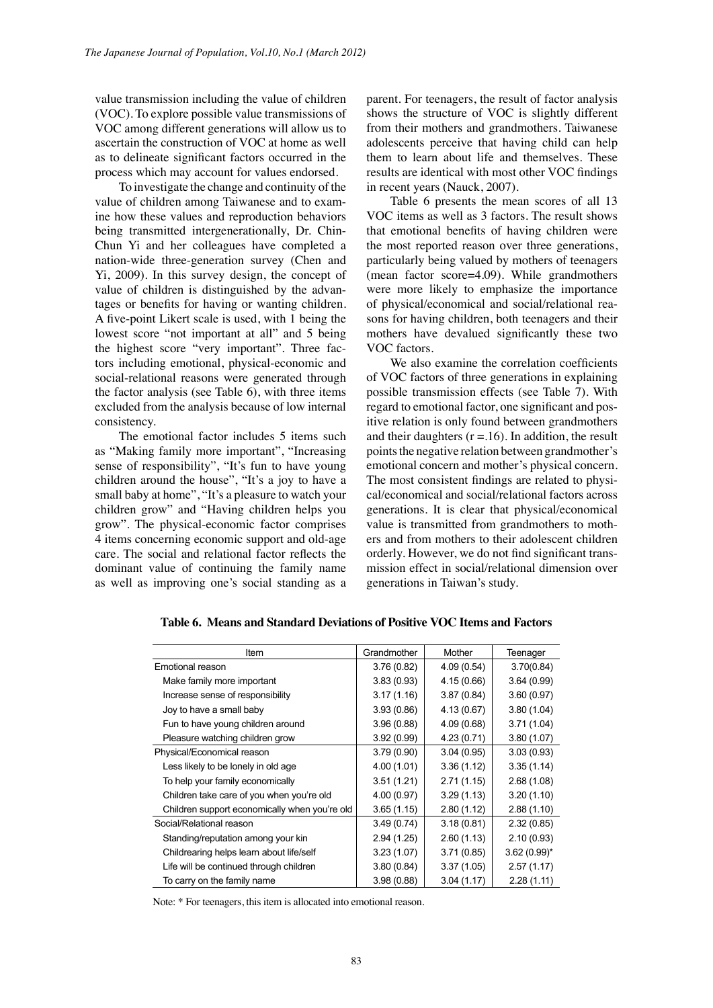value transmission including the value of children (VOC). To explore possible value transmissions of VOC among different generations will allow us to ascertain the construction of VOC at home as well as to delineate significant factors occurred in the process which may account for values endorsed.

To investigate the change and continuity of the value of children among Taiwanese and to examine how these values and reproduction behaviors being transmitted intergenerationally, Dr. Chin-Chun Yi and her colleagues have completed a nation-wide three-generation survey (Chen and Yi, 2009). In this survey design, the concept of value of children is distinguished by the advantages or benefits for having or wanting children. A five-point Likert scale is used, with 1 being the lowest score "not important at all" and 5 being the highest score "very important". Three factors including emotional, physical-economic and social-relational reasons were generated through the factor analysis (see Table 6), with three items excluded from the analysis because of low internal consistency.

The emotional factor includes 5 items such as "Making family more important", "Increasing sense of responsibility", "It's fun to have young children around the house", "It's a joy to have a small baby at home", "It's a pleasure to watch your children grow" and "Having children helps you grow". The physical-economic factor comprises 4 items concerning economic support and old-age care. The social and relational factor reflects the dominant value of continuing the family name as well as improving one's social standing as a parent. For teenagers, the result of factor analysis shows the structure of VOC is slightly different from their mothers and grandmothers. Taiwanese adolescents perceive that having child can help them to learn about life and themselves. These results are identical with most other VOC findings in recent years (Nauck, 2007).

Table 6 presents the mean scores of all 13 VOC items as well as 3 factors. The result shows that emotional benefits of having children were the most reported reason over three generations, particularly being valued by mothers of teenagers (mean factor score=4.09). While grandmothers were more likely to emphasize the importance of physical/economical and social/relational reasons for having children, both teenagers and their mothers have devalued significantly these two VOC factors.

We also examine the correlation coefficients of VOC factors of three generations in explaining possible transmission effects (see Table 7). With regard to emotional factor, one significant and positive relation is only found between grandmothers and their daughters  $(r = .16)$ . In addition, the result points the negative relation between grandmother's emotional concern and mother's physical concern. The most consistent findings are related to physical/economical and social/relational factors across generations. It is clear that physical/economical value is transmitted from grandmothers to mothers and from mothers to their adolescent children orderly. However, we do not find significant transmission effect in social/relational dimension over generations in Taiwan's study.

| Item                                          | Grandmother | Mother      | Teenager       |
|-----------------------------------------------|-------------|-------------|----------------|
| Emotional reason                              | 3.76(0.82)  | 4.09(0.54)  | 3.70(0.84)     |
| Make family more important                    | 3.83(0.93)  | 4.15 (0.66) | 3.64(0.99)     |
| Increase sense of responsibility              | 3.17(1.16)  | 3.87(0.84)  | 3.60(0.97)     |
| Joy to have a small baby                      | 3.93(0.86)  | 4.13 (0.67) | 3.80(1.04)     |
| Fun to have young children around             | 3.96(0.88)  | 4.09(0.68)  | 3.71(1.04)     |
| Pleasure watching children grow               | 3.92(0.99)  | 4.23(0.71)  | 3.80(1.07)     |
| Physical/Economical reason                    | 3.79(0.90)  | 3.04(0.95)  | 3.03(0.93)     |
| Less likely to be lonely in old age           | 4.00(1.01)  | 3.36(1.12)  | 3.35(1.14)     |
| To help your family economically              | 3.51(1.21)  | 2.71(1.15)  | 2.68(1.08)     |
| Children take care of you when you're old     | 4.00(0.97)  | 3.29(1.13)  | 3.20(1.10)     |
| Children support economically when you're old | 3.65(1.15)  | 2.80(1.12)  | 2.88(1.10)     |
| Social/Relational reason                      | 3.49(0.74)  | 3.18(0.81)  | 2.32(0.85)     |
| Standing/reputation among your kin            | 2.94(1.25)  | 2.60(1.13)  | 2.10(0.93)     |
| Childrearing helps learn about life/self      | 3.23(1.07)  | 3.71(0.85)  | $3.62(0.99)$ * |
| Life will be continued through children       | 3.80(0.84)  | 3.37(1.05)  | 2.57(1.17)     |
| To carry on the family name                   | 3.98(0.88)  | 3.04(1.17)  | 2.28(1.11)     |

**Table 6. Means and Standard Deviations of Positive VOC Items and Factors**

Note: \* For teenagers, this item is allocated into emotional reason.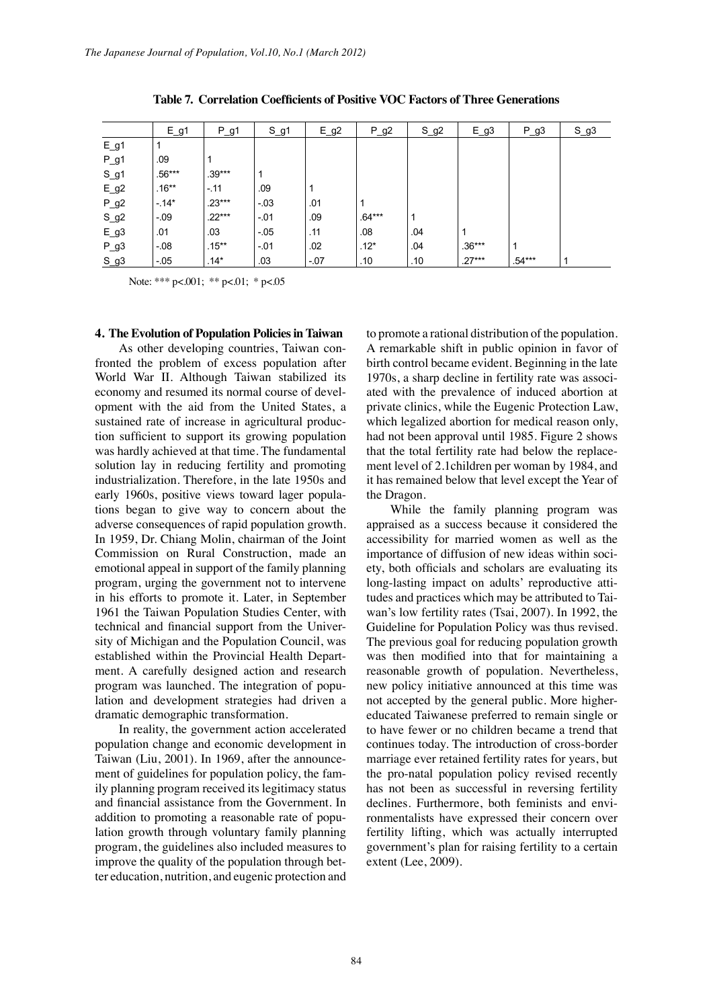|        | $E_g1$   | $P_g1$   | $S_g1$ | $E_g^2$ | $P_g2$   | $S_g^2$ | $E_g3$   | $P_g3$   | $S_g3$ |
|--------|----------|----------|--------|---------|----------|---------|----------|----------|--------|
| $E_g1$ |          |          |        |         |          |         |          |          |        |
| $P_g1$ | .09      |          |        |         |          |         |          |          |        |
| $S_g1$ | $.56***$ | $.39***$ |        |         |          |         |          |          |        |
| $E_g2$ | $.16**$  | $-11$    | .09    | 1       |          |         |          |          |        |
| $P_g2$ | $-14*$   | $.23***$ | $-03$  | .01     |          |         |          |          |        |
| $S_g2$ | $-09$    | $.22***$ | $-01$  | .09     | $.64***$ | 1       |          |          |        |
| $E_g3$ | .01      | .03      | $-05$  | .11     | .08      | .04     |          |          |        |
| $P_g3$ | $-08$    | $.15***$ | $-01$  | .02     | $.12*$   | .04     | $.36***$ |          |        |
| $S_g3$ | $-05$    | $.14*$   | .03    | $-07$   | .10      | .10     | $.27***$ | $.54***$ |        |

**Table 7. Correlation Coefficients of Positive VOC Factors of Three Generations**

Note: \*\*\* p<.001; \*\* p<.01; \* p<.05

## **4. The Evolution of Population Policies in Taiwan**

As other developing countries, Taiwan confronted the problem of excess population after World War II. Although Taiwan stabilized its economy and resumed its normal course of development with the aid from the United States, a sustained rate of increase in agricultural production sufficient to support its growing population was hardly achieved at that time. The fundamental solution lay in reducing fertility and promoting industrialization. Therefore, in the late 1950s and early 1960s, positive views toward lager populations began to give way to concern about the adverse consequences of rapid population growth. In 1959, Dr. Chiang Molin, chairman of the Joint Commission on Rural Construction, made an emotional appeal in support of the family planning program, urging the government not to intervene in his efforts to promote it. Later, in September 1961 the Taiwan Population Studies Center, with technical and financial support from the University of Michigan and the Population Council, was established within the Provincial Health Department. A carefully designed action and research program was launched. The integration of population and development strategies had driven a dramatic demographic transformation.

In reality, the government action accelerated population change and economic development in Taiwan (Liu, 2001). In 1969, after the announcement of guidelines for population policy, the family planning program received its legitimacy status and financial assistance from the Government. In addition to promoting a reasonable rate of population growth through voluntary family planning program, the guidelines also included measures to improve the quality of the population through better education, nutrition, and eugenic protection and

to promote a rational distribution of the population. A remarkable shift in public opinion in favor of birth control became evident. Beginning in the late 1970s, a sharp decline in fertility rate was associated with the prevalence of induced abortion at private clinics, while the Eugenic Protection Law, which legalized abortion for medical reason only, had not been approval until 1985. Figure 2 shows that the total fertility rate had below the replacement level of 2.1children per woman by 1984, and it has remained below that level except the Year of the Dragon.

While the family planning program was appraised as a success because it considered the accessibility for married women as well as the importance of diffusion of new ideas within society, both officials and scholars are evaluating its long-lasting impact on adults' reproductive attitudes and practices which may be attributed to Taiwan's low fertility rates (Tsai, 2007). In 1992, the Guideline for Population Policy was thus revised. The previous goal for reducing population growth was then modified into that for maintaining a reasonable growth of population. Nevertheless, new policy initiative announced at this time was not accepted by the general public. More highereducated Taiwanese preferred to remain single or to have fewer or no children became a trend that continues today. The introduction of cross-border marriage ever retained fertility rates for years, but the pro-natal population policy revised recently has not been as successful in reversing fertility declines. Furthermore, both feminists and environmentalists have expressed their concern over fertility lifting, which was actually interrupted government's plan for raising fertility to a certain extent (Lee, 2009).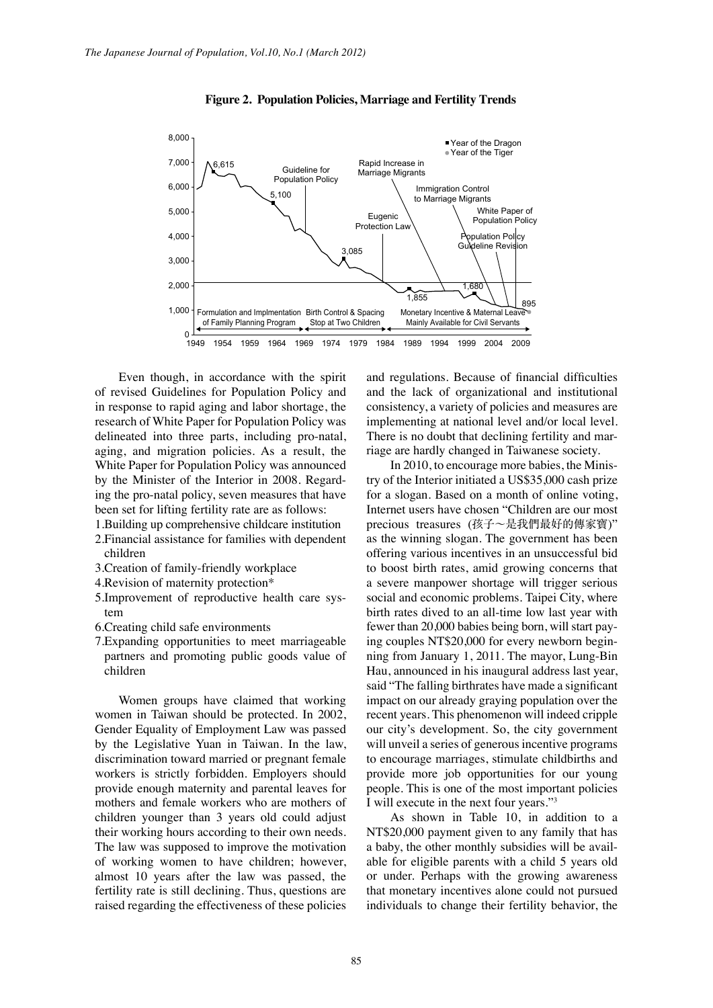

 **Figure 2. Population Policies, Marriage and Fertility Trends**

Even though, in accordance with the spirit of revised Guidelines for Population Policy and in response to rapid aging and labor shortage, the research of White Paper for Population Policy was delineated into three parts, including pro-natal, aging, and migration policies. As a result, the White Paper for Population Policy was announced by the Minister of the Interior in 2008. Regarding the pro-natal policy, seven measures that have been set for lifting fertility rate are as follows:

- 1.Building up comprehensive childcare institution
- 2.Financial assistance for families with dependent children
- 3.Creation of family-friendly workplace
- 4.Revision of maternity protection\*
- 5.Improvement of reproductive health care system
- 6.Creating child safe environments
- 7.Expanding opportunities to meet marriageable partners and promoting public goods value of children

Women groups have claimed that working women in Taiwan should be protected. In 2002, Gender Equality of Employment Law was passed by the Legislative Yuan in Taiwan. In the law, discrimination toward married or pregnant female workers is strictly forbidden. Employers should provide enough maternity and parental leaves for mothers and female workers who are mothers of children younger than 3 years old could adjust their working hours according to their own needs. The law was supposed to improve the motivation of working women to have children; however, almost 10 years after the law was passed, the fertility rate is still declining. Thus, questions are raised regarding the effectiveness of these policies and regulations. Because of financial difficulties and the lack of organizational and institutional consistency, a variety of policies and measures are implementing at national level and/or local level. There is no doubt that declining fertility and marriage are hardly changed in Taiwanese society.

In 2010, to encourage more babies, the Ministry of the Interior initiated a US\$35,000 cash prize for a slogan. Based on a month of online voting, Internet users have chosen "Children are our most precious treasures (孩子〜是我們最好的傳家寶)" as the winning slogan. The government has been offering various incentives in an unsuccessful bid to boost birth rates, amid growing concerns that a severe manpower shortage will trigger serious social and economic problems. Taipei City, where birth rates dived to an all-time low last year with fewer than 20,000 babies being born, will start paying couples NT\$20,000 for every newborn beginning from January 1, 2011. The mayor, Lung-Bin Hau, announced in his inaugural address last year, said "The falling birthrates have made a significant impact on our already graying population over the recent years. This phenomenon will indeed cripple our city's development. So, the city government will unveil a series of generous incentive programs to encourage marriages, stimulate childbirths and provide more job opportunities for our young people. This is one of the most important policies I will execute in the next four years."3

As shown in Table 10, in addition to a NT\$20,000 payment given to any family that has a baby, the other monthly subsidies will be available for eligible parents with a child 5 years old or under. Perhaps with the growing awareness that monetary incentives alone could not pursued individuals to change their fertility behavior, the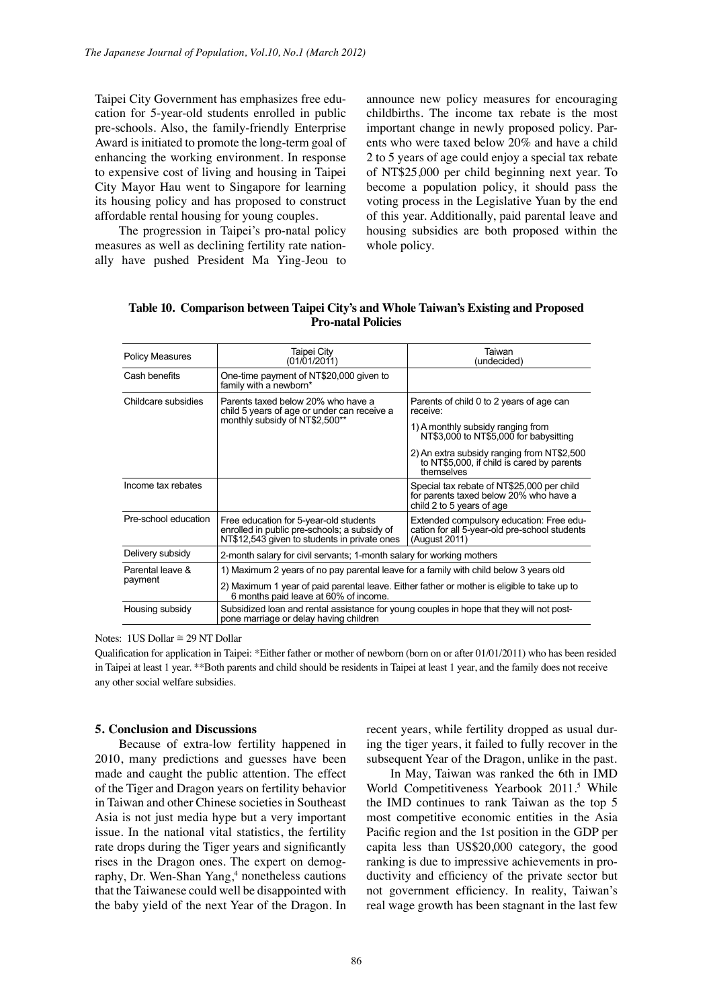Taipei City Government has emphasizes free education for 5-year-old students enrolled in public pre-schools. Also, the family-friendly Enterprise Award is initiated to promote the long-term goal of enhancing the working environment. In response to expensive cost of living and housing in Taipei City Mayor Hau went to Singapore for learning its housing policy and has proposed to construct affordable rental housing for young couples.

The progression in Taipei's pro-natal policy measures as well as declining fertility rate nationally have pushed President Ma Ying-Jeou to announce new policy measures for encouraging childbirths. The income tax rebate is the most important change in newly proposed policy. Parents who were taxed below 20% and have a child 2 to 5 years of age could enjoy a special tax rebate of NT\$25,000 per child beginning next year. To become a population policy, it should pass the voting process in the Legislative Yuan by the end of this year. Additionally, paid parental leave and housing subsidies are both proposed within the whole policy.

| <b>Policy Measures</b> | Taipei City<br>(01/01/2011)                                                                                                            | Taiwan<br>(undecided)                                                                                             |  |  |  |  |  |
|------------------------|----------------------------------------------------------------------------------------------------------------------------------------|-------------------------------------------------------------------------------------------------------------------|--|--|--|--|--|
| Cash benefits          | One-time payment of NT\$20,000 given to<br>family with a newborn*                                                                      |                                                                                                                   |  |  |  |  |  |
| Childcare subsidies    | Parents taxed below 20% who have a<br>child 5 years of age or under can receive a                                                      | Parents of child 0 to 2 years of age can<br>receive:                                                              |  |  |  |  |  |
|                        | monthly subsidy of NT\$2,500**                                                                                                         | 1) A monthly subsidy ranging from<br>NT\$3,000 to NT\$5,000 for babysitting                                       |  |  |  |  |  |
|                        |                                                                                                                                        | 2) An extra subsidy ranging from NT\$2,500<br>to NT\$5,000, if child is cared by parents<br>themselves            |  |  |  |  |  |
| Income tax rebates     |                                                                                                                                        | Special tax rebate of NT\$25,000 per child<br>for parents taxed below 20% who have a<br>child 2 to 5 years of age |  |  |  |  |  |
| Pre-school education   | Free education for 5-year-old students<br>enrolled in public pre-schools; a subsidy of<br>NT\$12,543 given to students in private ones | Extended compulsory education: Free edu-<br>cation for all 5-year-old pre-school students<br>(August 2011)        |  |  |  |  |  |
| Delivery subsidy       | 2-month salary for civil servants; 1-month salary for working mothers                                                                  |                                                                                                                   |  |  |  |  |  |
| Parental leave &       | 1) Maximum 2 years of no pay parental leave for a family with child below 3 years old                                                  |                                                                                                                   |  |  |  |  |  |
| payment                | 2) Maximum 1 year of paid parental leave. Either father or mother is eligible to take up to<br>6 months paid leave at 60% of income.   |                                                                                                                   |  |  |  |  |  |
| Housing subsidy        | Subsidized loan and rental assistance for young couples in hope that they will not post-<br>pone marriage or delay having children     |                                                                                                                   |  |  |  |  |  |

**Table 10. Comparison between Taipei City's and Whole Taiwan's Existing and Proposed Pro-natal Policies** 

Notes: 1US Dollar ≅ 29 NT Dollar

Qualification for application in Taipei: \*Either father or mother of newborn (born on or after 01/01/2011) who has been resided in Taipei at least 1 year. \*\*Both parents and child should be residents in Taipei at least 1 year, and the family does not receive any other social welfare subsidies.

## **5. Conclusion and Discussions**

Because of extra-low fertility happened in 2010, many predictions and guesses have been made and caught the public attention. The effect of the Tiger and Dragon years on fertility behavior in Taiwan and other Chinese societies in Southeast Asia is not just media hype but a very important issue. In the national vital statistics, the fertility rate drops during the Tiger years and significantly rises in the Dragon ones. The expert on demography, Dr. Wen-Shan Yang,<sup>4</sup> nonetheless cautions that the Taiwanese could well be disappointed with the baby yield of the next Year of the Dragon. In

recent years, while fertility dropped as usual during the tiger years, it failed to fully recover in the subsequent Year of the Dragon, unlike in the past.

In May, Taiwan was ranked the 6th in IMD World Competitiveness Yearbook 2011.<sup>5</sup> While the IMD continues to rank Taiwan as the top 5 most competitive economic entities in the Asia Pacific region and the 1st position in the GDP per capita less than US\$20,000 category, the good ranking is due to impressive achievements in productivity and efficiency of the private sector but not government efficiency. In reality, Taiwan's real wage growth has been stagnant in the last few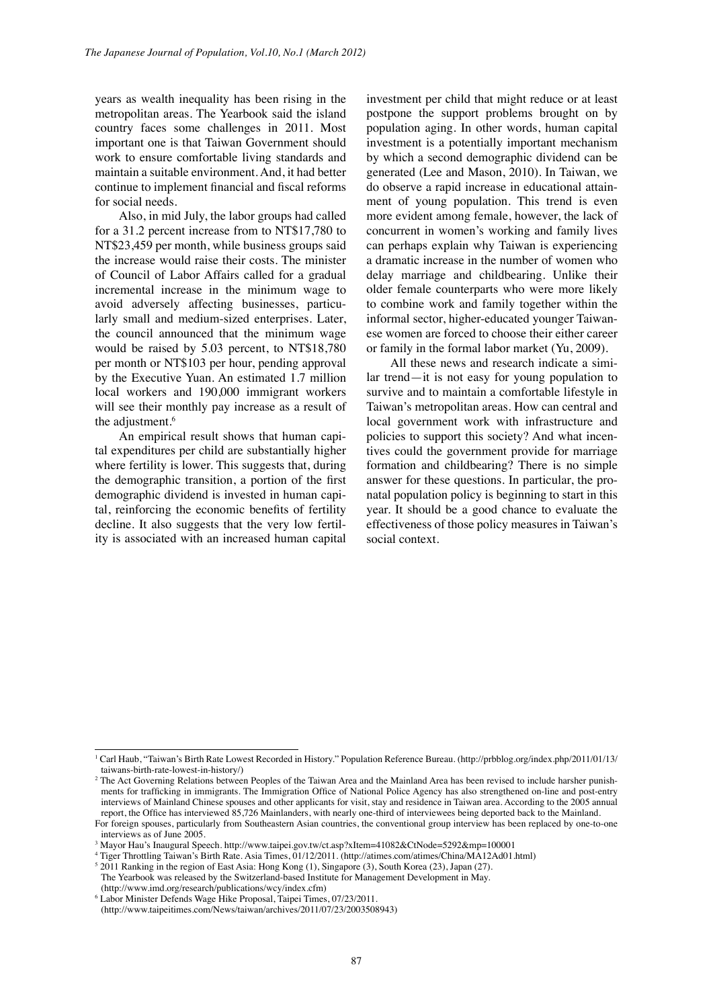years as wealth inequality has been rising in the metropolitan areas. The Yearbook said the island country faces some challenges in 2011. Most important one is that Taiwan Government should work to ensure comfortable living standards and maintain a suitable environment. And, it had better continue to implement financial and fiscal reforms for social needs.

Also, in mid July, the labor groups had called for a 31.2 percent increase from to NT\$17,780 to NT\$23,459 per month, while business groups said the increase would raise their costs. The minister of Council of Labor Affairs called for a gradual incremental increase in the minimum wage to avoid adversely affecting businesses, particularly small and medium-sized enterprises. Later, the council announced that the minimum wage would be raised by 5.03 percent, to NT\$18,780 per month or NT\$103 per hour, pending approval by the Executive Yuan. An estimated 1.7 million local workers and 190,000 immigrant workers will see their monthly pay increase as a result of the adjustment.<sup>6</sup>

An empirical result shows that human capital expenditures per child are substantially higher where fertility is lower. This suggests that, during the demographic transition, a portion of the first demographic dividend is invested in human capital, reinforcing the economic benefits of fertility decline. It also suggests that the very low fertility is associated with an increased human capital investment per child that might reduce or at least postpone the support problems brought on by population aging. In other words, human capital investment is a potentially important mechanism by which a second demographic dividend can be generated (Lee and Mason, 2010). In Taiwan, we do observe a rapid increase in educational attainment of young population. This trend is even more evident among female, however, the lack of concurrent in women's working and family lives can perhaps explain why Taiwan is experiencing a dramatic increase in the number of women who delay marriage and childbearing. Unlike their older female counterparts who were more likely to combine work and family together within the informal sector, higher-educated younger Taiwanese women are forced to choose their either career or family in the formal labor market (Yu, 2009).

All these news and research indicate a similar trend—it is not easy for young population to survive and to maintain a comfortable lifestyle in Taiwan's metropolitan areas. How can central and local government work with infrastructure and policies to support this society? And what incentives could the government provide for marriage formation and childbearing? There is no simple answer for these questions. In particular, the pronatal population policy is beginning to start in this year. It should be a good chance to evaluate the effectiveness of those policy measures in Taiwan's social context.

<sup>&</sup>lt;sup>1</sup> Carl Haub, "Taiwan's Birth Rate Lowest Recorded in History." Population Reference Bureau. (http://prbblog.org/index.php/2011/01/13/ taiwans-birth-rate-lowest-in-history/)

<sup>&</sup>lt;sup>2</sup> The Act Governing Relations between Peoples of the Taiwan Area and the Mainland Area has been revised to include harsher punishments for trafficking in immigrants. The Immigration Office of National Police Agency has also strengthened on-line and post-entry interviews of Mainland Chinese spouses and other applicants for visit, stay and residence in Taiwan area. According to the 2005 annual report, the Office has interviewed 85,726 Mainlanders, with nearly one-third of interviewees being deported back to the Mainland. For foreign spouses, particularly from Southeastern Asian countries, the conventional group interview has been replaced by one-to-one

interviews as of June 2005.

<sup>3</sup> Mayor Hau's Inaugural Speech. http://www.taipei.gov.tw/ct.asp?xItem=41082&CtNode=5292&mp=100001

<sup>4</sup> Tiger Throttling Taiwan's Birth Rate. Asia Times, 01/12/2011. (http://atimes.com/atimes/China/MA12Ad01.html)

<sup>5</sup> 2011 Ranking in the region of East Asia: Hong Kong (1), Singapore (3), South Korea (23), Japan (27). The Yearbook was released by the Switzerland-based Institute for Management Development in May.

<sup>(</sup>http://www.imd.org/research/publications/wcy/index.cfm)

<sup>6</sup> Labor Minister Defends Wage Hike Proposal, Taipei Times, 07/23/2011.

<sup>(</sup>http://www.taipeitimes.com/News/taiwan/archives/2011/07/23/2003508943)